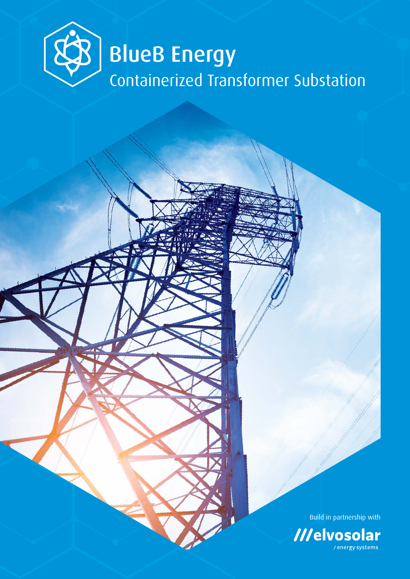

Build in partnership with

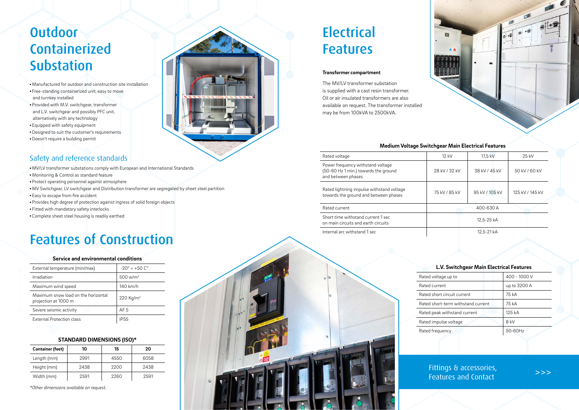- MV/LV transformer substations comply with European and International Standards
- Monitoring & Control as standard feature
- Protect operating personnel against atmosphere
- MV Switchgear, LV switchgear and Distribution transformer are segregated by sheet steel partition
- Easy to escape from fire accident
- Provides high degree of protection against ingress of solid foreign objects
- Fitted with mandatory safety interlocks
- Complete sheet steel housing is readily earthed

## **Outdoor** Containerized Substation

# **Electrical** Features **Transformer compartment**

## Safety and reference standards

## Features of Construction

- Manufactured for outdoor and construction site installation
- Free-standing containerized unit, easy to move and turnkey installed
- Provided with M.V. switchgear, transformer and L.V. switchgear and possibly PFC unit, alternatively with any technology
- Equipped with safety equipment
- Designed to suit the customer's requirements
- Doesn't require a building permit

The MV/LV transformer substation is supplied with a cast resin transformer. Oil or air insulated transformers are also available on request. The transformer installed may be from 100kVA to 2500kVA.

## Fittings & accessories, Features and Contact **buying**

### **Medium Voltage Switchgear Main Electrical Features**

| Rated voltage                                                                                   | 12 kV         | 17.5 kV        | 25 kV           |
|-------------------------------------------------------------------------------------------------|---------------|----------------|-----------------|
| Power frequency withstand voltage<br>(50-60 Hz 1 min.) towards the ground<br>and between phases | 28 kV / 32 kV | 38 kV / 45 kV  | 50 kV / 60 kV   |
| Rated lightning impulse withstand voltage<br>towards the ground and between phases              | 75 kV / 85 kV | 95 kV / 105 kV | 125 kV / 145 kV |
| Rated current                                                                                   |               | 400-630 A      |                 |
| Short time withstand current 1 sec<br>on main circuits and earth circuits                       |               | 12,5-25 kA     |                 |
| Internal arc withstand 1 sec                                                                    |               | 12,5-21 kA     |                 |
|                                                                                                 |               |                |                 |

Rated volt Rated cur Rated sho Rated sho Rated pea Rated im Rated freq







## **L.V. Switchgear Main Electrical Features**

| 400 - 1000 V |
|--------------|
| up to 3200 A |
| 75 kA        |
| 75 kA        |
| 125 kA       |
| 8 kV         |
| 50-60Hz      |
|              |

### **Service and environmental conditions**

| External temperature (min/max)                              | $-20^{\circ} \div +50^{\circ}$ |
|-------------------------------------------------------------|--------------------------------|
| Irradiation                                                 | $500 \,\mathrm{w/m^2}$         |
| Maximum wind speed                                          | $140$ km/h                     |
| Maximum snow load on the horizontal<br>projection at 1000 m | 220 Kg/m <sup>2</sup>          |
| Severe seismic activity                                     | AF 5                           |
| External Protection class                                   | <b>IP55</b>                    |
|                                                             |                                |

## **STANDARD DIMENSIONS (ISO)\***

| <b>Container (feet)</b> | 10   | 15   | 20   |
|-------------------------|------|------|------|
| Length (mm)             | 2991 | 4550 | 6058 |
| Height (mm)             | 2438 | 2200 | 2438 |
| Width (mm)              | 2591 | 2260 | 2591 |

*\*Other dimensions available on request.*